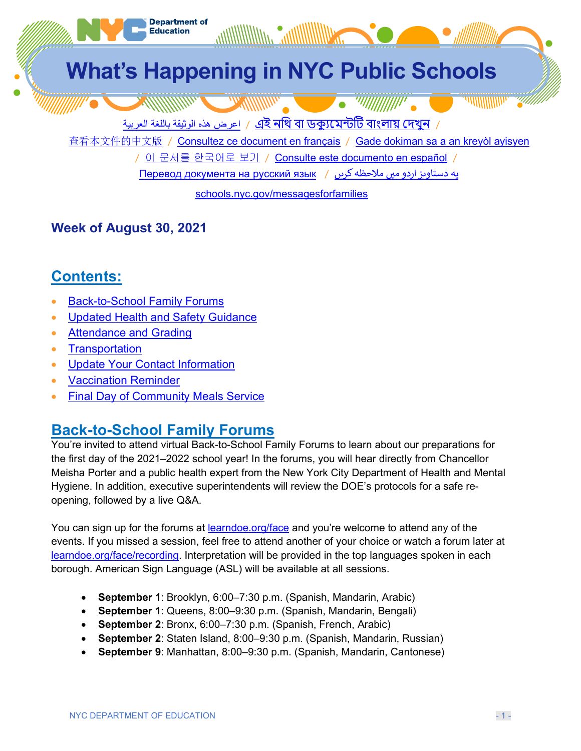

### **Week of August 30, 2021**

# **Contents:**

- Back-to-School Family Forums
- Updated Health and Safety Guidance
- **Attendance and Grading**
- Transportation
- Update Your Contact Information
- Vaccination Reminder
- Final Day of Community Meals Service

# **Back-to-School Family Forums**

You're invited to attend virtual Back-to-School Family Forums to learn about our preparations for the first day of the 2021–2022 school year! In the forums, you will hear directly from Chancellor Meisha Porter and a public health expert from the New York City Department of Health and Mental Hygiene. In addition, executive superintendents will review the DOE's protocols for a safe reopening, followed by a live Q&A.

You can sign up for the forums at learndoe.org/face and you're welcome to attend any of the events. If you missed a session, feel free to attend another of your choice or watch a forum later at learndoe.org/face/recording. Interpretation will be provided in the top languages spoken in each borough. American Sign Language (ASL) will be available at all sessions.

- **September 1**: Brooklyn, 6:00–7:30 p.m. (Spanish, Mandarin, Arabic)
- **September 1**: Queens, 8:00–9:30 p.m. (Spanish, Mandarin, Bengali)
- **September 2**: Bronx, 6:00–7:30 p.m. (Spanish, French, Arabic)
- **September 2**: Staten Island, 8:00–9:30 p.m. (Spanish, Mandarin, Russian)
- **September 9**: Manhattan, 8:00–9:30 p.m. (Spanish, Mandarin, Cantonese)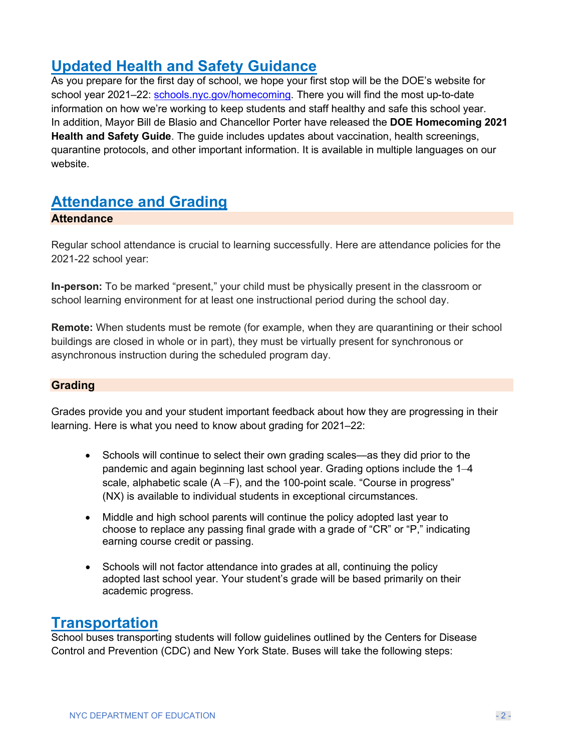# **Updated Health and Safety Guidance**

As you prepare for the first day of school, we hope your first stop will be the DOE's website for school year 2021–22: [schools.nyc.gov/homecoming.](https://schools.nyc.gov/homecoming) There you will find the most up-to-date information on how we're working to keep students and staff healthy and safe this school year. In addition, Mayor Bill de Blasio and Chancellor Porter have released the **DOE Homecoming 2021 Health and Safety Guide**. The guide includes updates about vaccination, health screenings, quarantine protocols, and other important information. It is available in multiple languages on our website.

## **Attendance and Grading**

#### **Attendance**

Regular school attendance is crucial to learning successfully. Here are attendance policies for the 2021-22 school year:

**In-person:** To be marked "present," your child must be physically present in the classroom or school learning environment for at least one instructional period during the school day.

**Remote:** When students must be remote (for example, when they are quarantining or their school buildings are closed in whole or in part), they must be virtually present for synchronous or asynchronous instruction during the scheduled program day.

#### **Grading**

Grades provide you and your student important feedback about how they are progressing in their learning. Here is what you need to know about grading for 2021–22:

- Schools will continue to select their own grading scales—as they did prior to the pandemic and again beginning last school year. Grading options include the 1–4 scale, alphabetic scale (A –F), and the 100-point scale. "Course in progress" (NX) is available to individual students in exceptional circumstances.
- Middle and high school parents will continue the policy adopted last year to choose to replace any passing final grade with a grade of "CR" or "P," indicating earning course credit or passing.
- Schools will not factor attendance into grades at all, continuing the policy adopted last school year. Your student's grade will be based primarily on their academic progress.

### **Transportation**

School buses transporting students will follow guidelines outlined by the Centers for Disease Control and Prevention (CDC) and New York State. Buses will take the following steps: